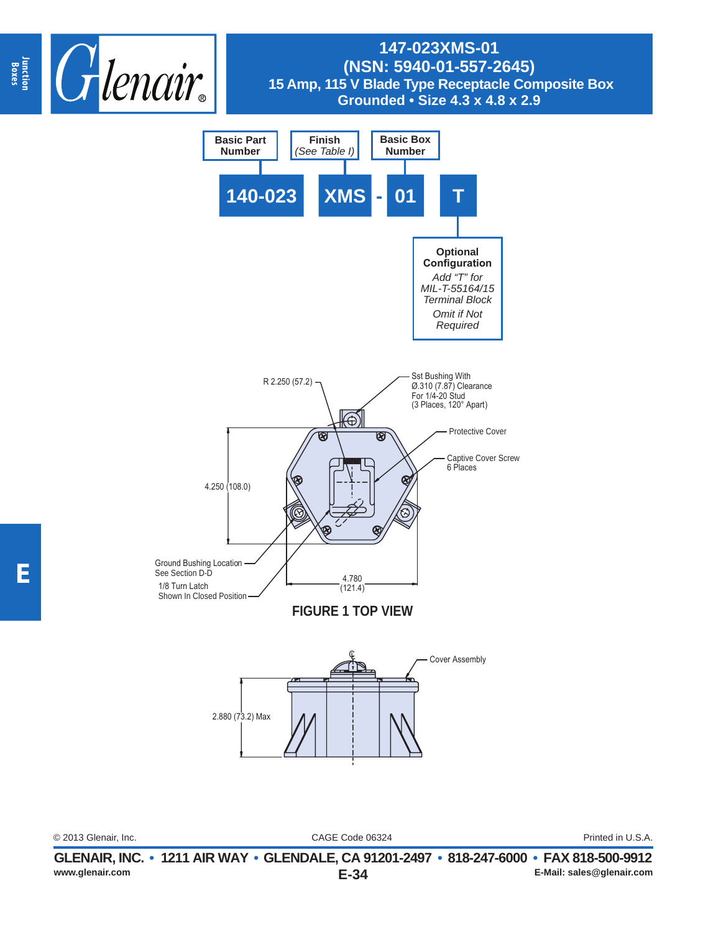



© 2013 Glenair, Inc. Printed in U.S.A.

CAGE Code 06324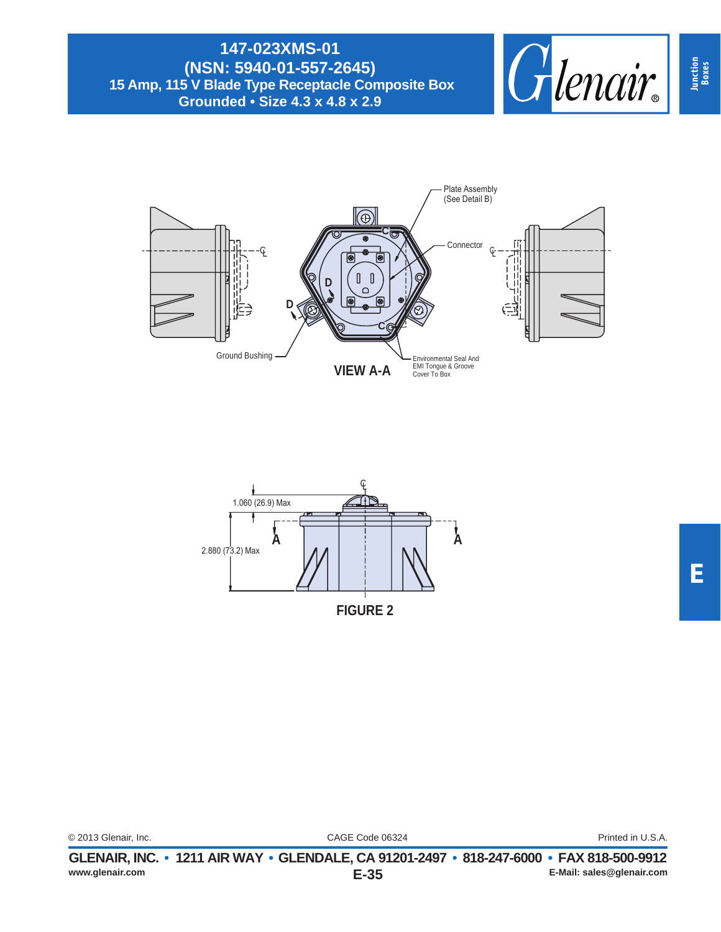





**Junction Boxes**

|                      | CLENAID INC. $\sim$ 4944 AID WAV. CLENDALE CA 04904 9407. 040 947 CO |  |
|----------------------|----------------------------------------------------------------------|--|
| © 2013 Glenair, Inc. | CAGE Code 06324                                                      |  |

Printed in U.S.A.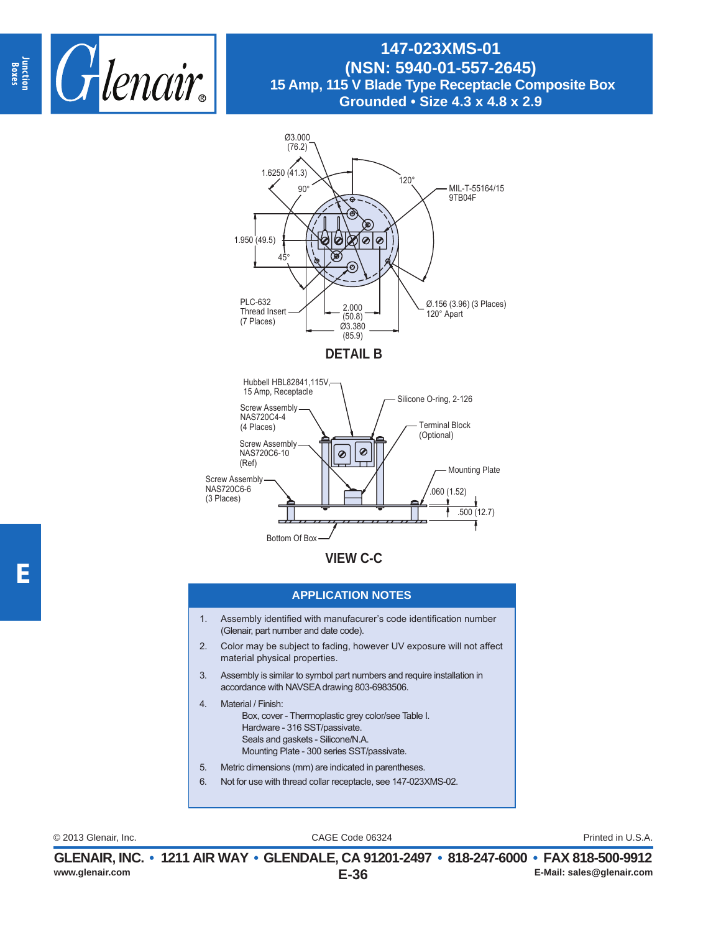



**VIEW C-C**

#### **APPLICATION NOTES**

- 1. Assembly identified with manufacurer's code identification number (Glenair, part number and date code).
- 2. Color may be subject to fading, however UV exposure will not affect material physical properties.
- 3. Assembly is similar to symbol part numbers and require installation in accordance with NAVSEA drawing 803-6983506.
- 4. Material / Finish: Box, cover - Thermoplastic grey color/see Table I. Hardware - 316 SST/passivate. Seals and gaskets - Silicone/N.A. Mounting Plate - 300 series SST/passivate.
- 5. Metric dimensions (mm) are indicated in parentheses.
- 6. Not for use with thread collar receptacle, see 147-023XMS-02.

CAGE Code 06324 © 2013 Glenair, Inc. Printed in U.S.A.